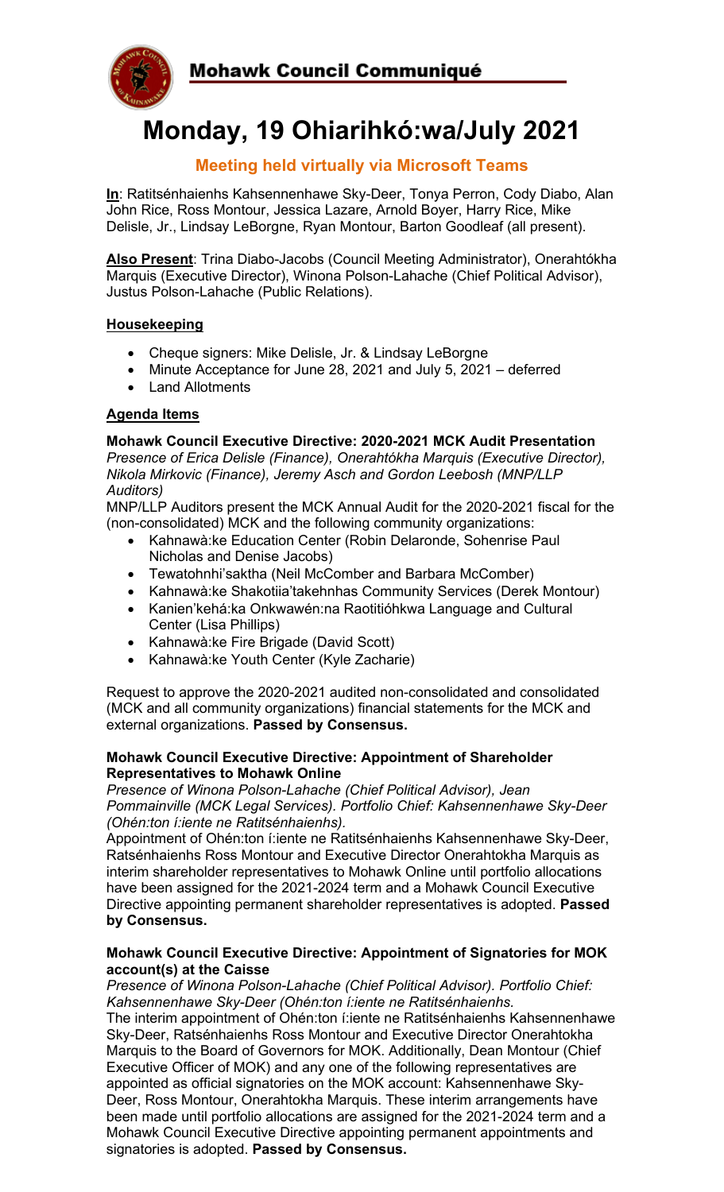

# **Monday, 19 Ohiarihkó:wa/July 2021**

# **Meeting held virtually via Microsoft Teams**

**In**: Ratitsénhaienhs Kahsennenhawe Sky-Deer, Tonya Perron, Cody Diabo, Alan John Rice, Ross Montour, Jessica Lazare, Arnold Boyer, Harry Rice, Mike Delisle, Jr., Lindsay LeBorgne, Ryan Montour, Barton Goodleaf (all present).

**Also Present**: Trina Diabo-Jacobs (Council Meeting Administrator), Onerahtókha Marquis (Executive Director), Winona Polson-Lahache (Chief Political Advisor), Justus Polson-Lahache (Public Relations).

## **Housekeeping**

- Cheque signers: Mike Delisle, Jr. & Lindsay LeBorgne
- Minute Acceptance for June 28, 2021 and July 5, 2021 deferred
- Land Allotments

# **Agenda Items**

## **Mohawk Council Executive Directive: 2020-2021 MCK Audit Presentation**

*Presence of Erica Delisle (Finance), Onerahtókha Marquis (Executive Director), Nikola Mirkovic (Finance), Jeremy Asch and Gordon Leebosh (MNP/LLP Auditors)*

MNP/LLP Auditors present the MCK Annual Audit for the 2020-2021 fiscal for the (non-consolidated) MCK and the following community organizations:

- Kahnawà:ke Education Center (Robin Delaronde, Sohenrise Paul Nicholas and Denise Jacobs)
- Tewatohnhi'saktha (Neil McComber and Barbara McComber)
- Kahnawà:ke Shakotiia'takehnhas Community Services (Derek Montour)
- Kanien'kehá:ka Onkwawén:na Raotitióhkwa Language and Cultural Center (Lisa Phillips)
- Kahnawà:ke Fire Brigade (David Scott)
- Kahnawà:ke Youth Center (Kyle Zacharie)

Request to approve the 2020-2021 audited non-consolidated and consolidated (MCK and all community organizations) financial statements for the MCK and external organizations. **Passed by Consensus.**

#### **Mohawk Council Executive Directive: Appointment of Shareholder Representatives to Mohawk Online**

*Presence of Winona Polson-Lahache (Chief Political Advisor), Jean Pommainville (MCK Legal Services). Portfolio Chief: Kahsennenhawe Sky-Deer (Ohén:ton í:iente ne Ratitsénhaienhs).*

Appointment of Ohén:ton í:iente ne Ratitsénhaienhs Kahsennenhawe Sky-Deer, Ratsénhaienhs Ross Montour and Executive Director Onerahtokha Marquis as interim shareholder representatives to Mohawk Online until portfolio allocations have been assigned for the 2021-2024 term and a Mohawk Council Executive Directive appointing permanent shareholder representatives is adopted. **Passed by Consensus.**

#### **Mohawk Council Executive Directive: Appointment of Signatories for MOK account(s) at the Caisse**

*Presence of Winona Polson-Lahache (Chief Political Advisor). Portfolio Chief: Kahsennenhawe Sky-Deer (Ohén:ton í:iente ne Ratitsénhaienhs.* The interim appointment of Ohén:ton í:iente ne Ratitsénhaienhs Kahsennenhawe Sky-Deer, Ratsénhaienhs Ross Montour and Executive Director Onerahtokha Marquis to the Board of Governors for MOK. Additionally, Dean Montour (Chief Executive Officer of MOK) and any one of the following representatives are appointed as official signatories on the MOK account: Kahsennenhawe Sky-Deer, Ross Montour, Onerahtokha Marquis. These interim arrangements have been made until portfolio allocations are assigned for the 2021-2024 term and a Mohawk Council Executive Directive appointing permanent appointments and signatories is adopted. **Passed by Consensus.**